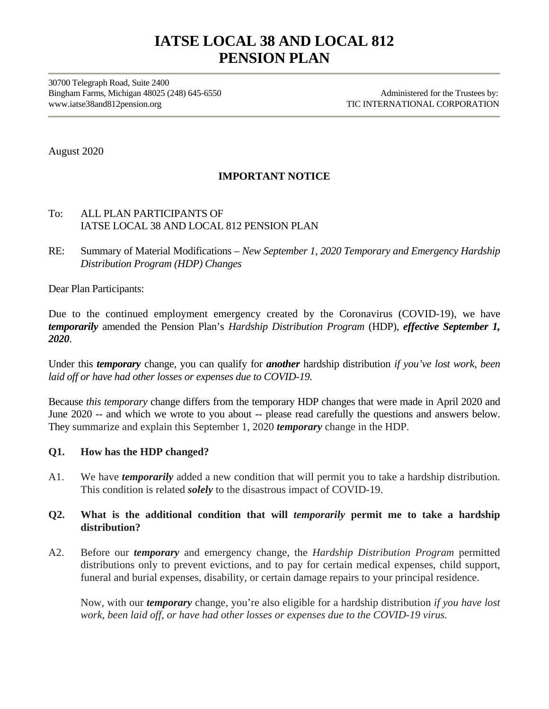# **IATSE LOCAL 38 AND LOCAL 812 PENSION PLAN**

30700 Telegraph Road, Suite 2400 Bingham Farms, Michigan 48025 (248) 645-6550 Administered for the Trustees by: www.iatse38and812pension.org TIC INTERNATIONAL CORPORATION

August 2020

# **IMPORTANT NOTICE**

## To: ALL PLAN PARTICIPANTS OF IATSE LOCAL 38 AND LOCAL 812 PENSION PLAN

RE: Summary of Material Modifications – *New September 1, 2020 Temporary and Emergency Hardship Distribution Program (HDP) Changes* 

Dear Plan Participants:

Due to the continued employment emergency created by the Coronavirus (COVID-19), we have *temporarily* amended the Pension Plan's *Hardship Distribution Program* (HDP), *effective September 1, 2020*.

Under this *temporary* change, you can qualify for *another* hardship distribution *if you've lost work, been laid off or have had other losses or expenses due to COVID-19.* 

Because *this temporary* change differs from the temporary HDP changes that were made in April 2020 and June 2020 -- and which we wrote to you about -- please read carefully the questions and answers below. They summarize and explain this September 1, 2020 *temporary* change in the HDP.

#### **Q1. How has the HDP changed?**

A1. We have *temporarily* added a new condition that will permit you to take a hardship distribution. This condition is related *solely* to the disastrous impact of COVID-19.

## **Q2. What is the additional condition that will** *temporarily* **permit me to take a hardship distribution?**

A2. Before our *temporary* and emergency change, the *Hardship Distribution Program* permitted distributions only to prevent evictions, and to pay for certain medical expenses, child support, funeral and burial expenses, disability, or certain damage repairs to your principal residence.

Now, with our *temporary* change, you're also eligible for a hardship distribution *if you have lost work, been laid off, or have had other losses or expenses due to the COVID-19 virus.*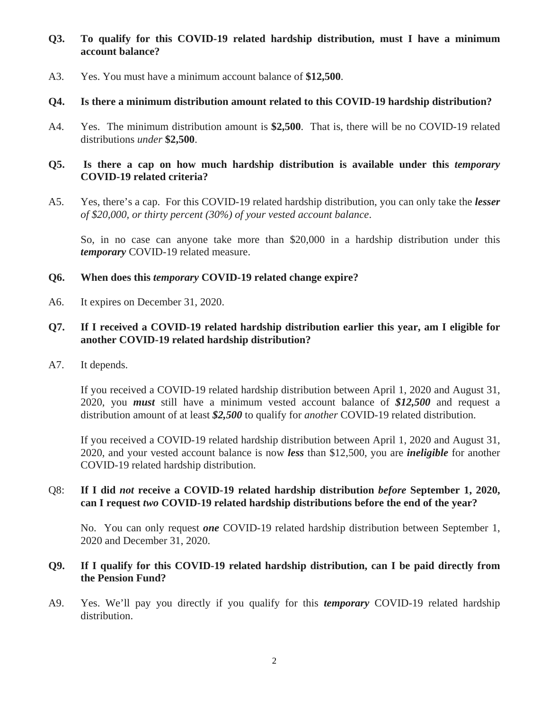# **Q3. To qualify for this COVID-19 related hardship distribution, must I have a minimum account balance?**

A3. Yes. You must have a minimum account balance of **\$12,500**.

## **Q4. Is there a minimum distribution amount related to this COVID-19 hardship distribution?**

A4. Yes. The minimum distribution amount is **\$2,500**. That is, there will be no COVID-19 related distributions *under* **\$2,500**.

## **Q5. Is there a cap on how much hardship distribution is available under this** *temporary* **COVID-19 related criteria?**

A5. Yes, there's a cap. For this COVID-19 related hardship distribution, you can only take the *lesser of \$20,000, or thirty percent (30%) of your vested account balance*.

So, in no case can anyone take more than \$20,000 in a hardship distribution under this *temporary* COVID-19 related measure.

## **Q6. When does this** *temporary* **COVID-19 related change expire?**

A6. It expires on December 31, 2020.

## **Q7. If I received a COVID-19 related hardship distribution earlier this year, am I eligible for another COVID-19 related hardship distribution?**

A7. It depends.

If you received a COVID-19 related hardship distribution between April 1, 2020 and August 31, 2020, you *must* still have a minimum vested account balance of *\$12,500* and request a distribution amount of at least *\$2,500* to qualify for *another* COVID-19 related distribution.

If you received a COVID-19 related hardship distribution between April 1, 2020 and August 31, 2020, and your vested account balance is now *less* than \$12,500, you are *ineligible* for another COVID-19 related hardship distribution.

## Q8: **If I did** *not* **receive a COVID-19 related hardship distribution** *before* **September 1, 2020, can I request** *two* **COVID-19 related hardship distributions before the end of the year?**

No. You can only request *one* COVID-19 related hardship distribution between September 1, 2020 and December 31, 2020.

## **Q9. If I qualify for this COVID-19 related hardship distribution, can I be paid directly from the Pension Fund?**

A9. Yes. We'll pay you directly if you qualify for this *temporary* COVID-19 related hardship distribution.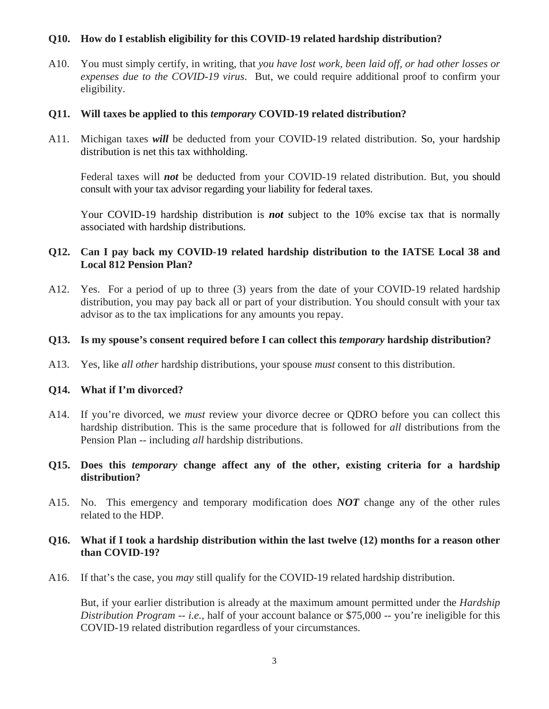#### **Q10. How do I establish eligibility for this COVID-19 related hardship distribution?**

A10. You must simply certify, in writing, that *you have lost work, been laid off, or had other losses or expenses due to the COVID-19 virus*. But, we could require additional proof to confirm your eligibility.

#### **Q11. Will taxes be applied to this** *temporary* **COVID-19 related distribution?**

A11. Michigan taxes *will* be deducted from your COVID-19 related distribution. So, your hardship distribution is net this tax withholding.

Federal taxes will *not* be deducted from your COVID-19 related distribution. But, you should consult with your tax advisor regarding your liability for federal taxes.

Your COVID-19 hardship distribution is *not* subject to the 10% excise tax that is normally associated with hardship distributions.

## **Q12. Can I pay back my COVID-19 related hardship distribution to the IATSE Local 38 and Local 812 Pension Plan?**

A12. Yes. For a period of up to three (3) years from the date of your COVID-19 related hardship distribution, you may pay back all or part of your distribution. You should consult with your tax advisor as to the tax implications for any amounts you repay.

#### **Q13. Is my spouse's consent required before I can collect this** *temporary* **hardship distribution?**

A13. Yes, like *all other* hardship distributions, your spouse *must* consent to this distribution.

#### **Q14. What if I'm divorced?**

- A14. If you're divorced, we *must* review your divorce decree or QDRO before you can collect this hardship distribution. This is the same procedure that is followed for *all* distributions from the Pension Plan -- including *all* hardship distributions.
- **Q15. Does this** *temporary* **change affect any of the other, existing criteria for a hardship distribution?**
- A15. No. This emergency and temporary modification does *NOT* change any of the other rules related to the HDP.

## **Q16. What if I took a hardship distribution within the last twelve (12) months for a reason other than COVID-19?**

A16. If that's the case, you *may* still qualify for the COVID-19 related hardship distribution.

But, if your earlier distribution is already at the maximum amount permitted under the *Hardship Distribution Program* -- *i.e.,* half of your account balance or \$75,000 -- you're ineligible for this COVID-19 related distribution regardless of your circumstances.